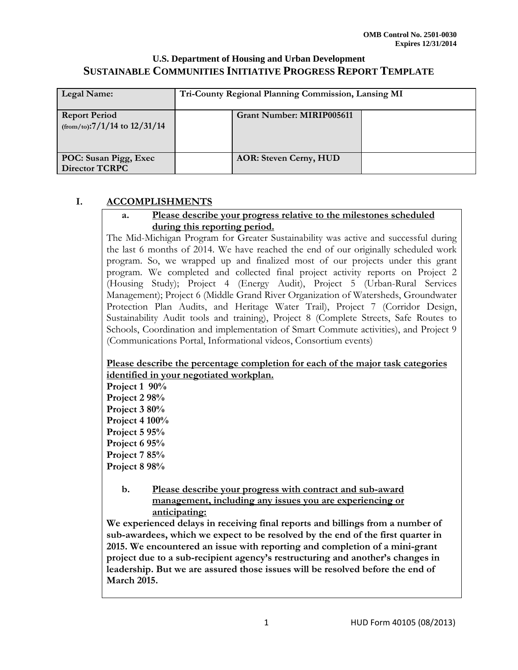| Legal Name:                                             | Tri-County Regional Planning Commission, Lansing MI |                               |  |
|---------------------------------------------------------|-----------------------------------------------------|-------------------------------|--|
| <b>Report Period</b><br>$(from/to)$ :7/1/14 to 12/31/14 |                                                     | Grant Number: MIRIP005611     |  |
| POC: Susan Pigg, Exec<br><b>Director TCRPC</b>          |                                                     | <b>AOR: Steven Cerny, HUD</b> |  |

## **I. ACCOMPLISHMENTS**

### **a. Please describe your progress relative to the milestones scheduled during this reporting period.**

The Mid-Michigan Program for Greater Sustainability was active and successful during the last 6 months of 2014. We have reached the end of our originally scheduled work program. So, we wrapped up and finalized most of our projects under this grant program. We completed and collected final project activity reports on Project 2 (Housing Study); Project 4 (Energy Audit), Project 5 (Urban-Rural Services Management); Project 6 (Middle Grand River Organization of Watersheds, Groundwater Protection Plan Audits, and Heritage Water Trail), Project 7 (Corridor Design, Sustainability Audit tools and training), Project 8 (Complete Streets, Safe Routes to Schools, Coordination and implementation of Smart Commute activities), and Project 9 (Communications Portal, Informational videos, Consortium events)

### **Please describe the percentage completion for each of the major task categories identified in your negotiated workplan.**

**Project 1 90% Project 2 98% Project 3 80% Project 4 100% Project 5 95% Project 6 95% Project 7 85% Project 8 98%** 

### **b. Please describe your progress with contract and sub-award management, including any issues you are experiencing or anticipating:**

**We experienced delays in receiving final reports and billings from a number of sub-awardees, which we expect to be resolved by the end of the first quarter in 2015. We encountered an issue with reporting and completion of a mini-grant project due to a sub-recipient agency's restructuring and another's changes in leadership. But we are assured those issues will be resolved before the end of March 2015.**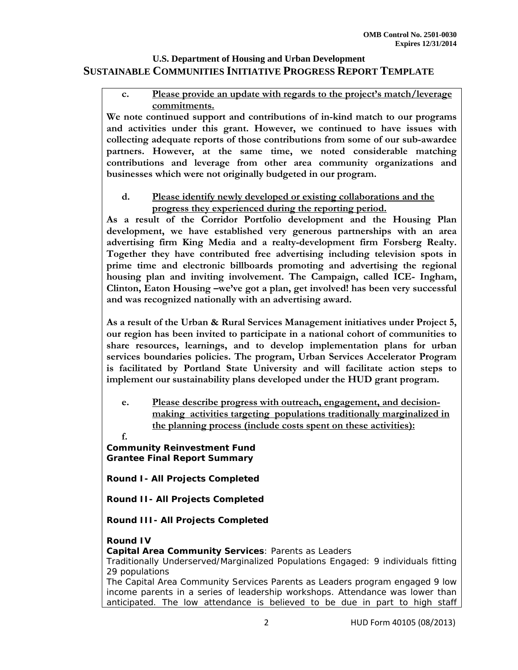### **c. Please provide an update with regards to the project's match/leverage commitments.**

**We note continued support and contributions of in-kind match to our programs and activities under this grant. However, we continued to have issues with collecting adequate reports of those contributions from some of our sub-awardee partners. However, at the same time, we noted considerable matching contributions and leverage from other area community organizations and businesses which were not originally budgeted in our program.** 

### **d. Please identify newly developed or existing collaborations and the progress they experienced during the reporting period.**

**As a result of the Corridor Portfolio development and the Housing Plan development, we have established very generous partnerships with an area advertising firm King Media and a realty-development firm Forsberg Realty. Together they have contributed free advertising including television spots in prime time and electronic billboards promoting and advertising the regional housing plan and inviting involvement. The Campaign, called ICE- Ingham, Clinton, Eaton Housing –we've got a plan, get involved! has been very successful and was recognized nationally with an advertising award.** 

**As a result of the Urban & Rural Services Management initiatives under Project 5, our region has been invited to participate in a national cohort of communities to share resources, learnings, and to develop implementation plans for urban services boundaries policies. The program, Urban Services Accelerator Program is facilitated by Portland State University and will facilitate action steps to implement our sustainability plans developed under the HUD grant program.** 

- **e. Please describe progress with outreach, engagement, and decisionmaking activities targeting populations traditionally marginalized in the planning process (include costs spent on these activities):**
- **f.**

**Community Reinvestment Fund Grantee Final Report Summary** 

**Round I- All Projects Completed**

**Round II- All Projects Completed**

**Round III- All Projects Completed**

## **Round IV**

**Capital Area Community Services**: *Parents as Leaders*

Traditionally Underserved/Marginalized Populations Engaged: 9 individuals fitting 29 populations

The Capital Area Community Services Parents as Leaders program engaged 9 low income parents in a series of leadership workshops. Attendance was lower than anticipated. The low attendance is believed to be due in part to high staff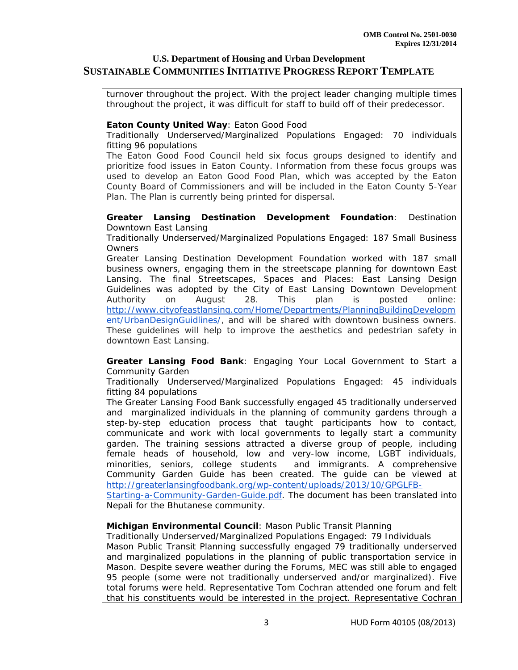turnover throughout the project. With the project leader changing multiple times throughout the project, it was difficult for staff to build off of their predecessor.

### **Eaton County United Way**: *Eaton Good Food*

Traditionally Underserved/Marginalized Populations Engaged: 70 individuals fitting 96 populations

The Eaton Good Food Council held six focus groups designed to identify and prioritize food issues in Eaton County. Information from these focus groups was used to develop an Eaton Good Food Plan, which was accepted by the Eaton County Board of Commissioners and will be included in the Eaton County 5-Year Plan. The Plan is currently being printed for dispersal.

#### **Greater Lansing Destination Development Foundation**: *Destination Downtown East Lansing*

Traditionally Underserved/Marginalized Populations Engaged: 187 Small Business **Owners** 

Greater Lansing Destination Development Foundation worked with 187 small business owners, engaging them in the streetscape planning for downtown East Lansing. The final Streetscapes, Spaces and Places: East Lansing Design Guidelines was adopted by the City of East Lansing Downtown Development Authority on August 28. This plan is posted online: http://www.cityofeastlansing.com/Home/Departments/PlanningBuildingDevelopm ent/UrbanDesignGuidlines/, and will be shared with downtown business owners. These guidelines will help to improve the aesthetics and pedestrian safety in downtown East Lansing.

**Greater Lansing Food Bank**: *Engaging Your Local Government to Start a Community Garden*

Traditionally Underserved/Marginalized Populations Engaged: 45 individuals fitting 84 populations

The Greater Lansing Food Bank successfully engaged 45 traditionally underserved and marginalized individuals in the planning of community gardens through a step-by-step education process that taught participants how to contact, communicate and work with local governments to legally start a community garden. The training sessions attracted a diverse group of people, including female heads of household, low and very-low income, LGBT individuals, minorities, seniors, college students and immigrants. A comprehensive Community Garden Guide has been created. The guide can be viewed at http://greaterlansingfoodbank.org/wp-content/uploads/2013/10/GPGLFB-

Starting-a-Community-Garden-Guide.pdf. The document has been translated into Nepali for the Bhutanese community.

#### **Michigan Environmental Council**: *Mason Public Transit Planning*

Traditionally Underserved/Marginalized Populations Engaged: 79 Individuals Mason Public Transit Planning successfully engaged 79 traditionally underserved and marginalized populations in the planning of public transportation service in Mason. Despite severe weather during the Forums, MEC was still able to engaged 95 people (some were not traditionally underserved and/or marginalized). Five total forums were held. Representative Tom Cochran attended one forum and felt that his constituents would be interested in the project. Representative Cochran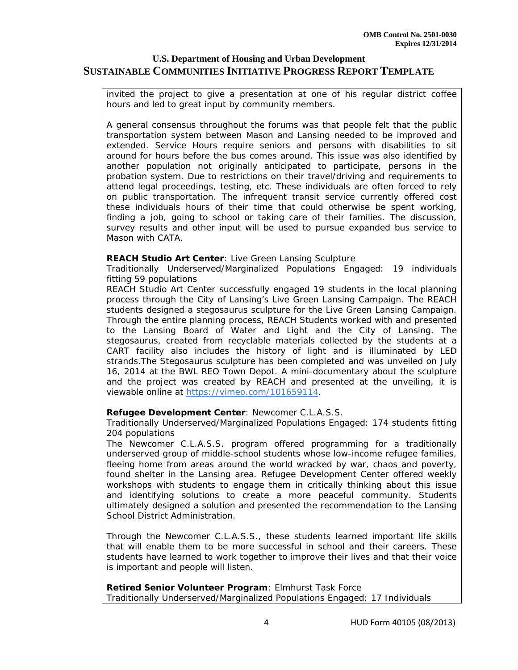invited the project to give a presentation at one of his regular district coffee hours and led to great input by community members.

A general consensus throughout the forums was that people felt that the public transportation system between Mason and Lansing needed to be improved and extended. Service Hours require seniors and persons with disabilities to sit around for hours before the bus comes around. This issue was also identified by another population not originally anticipated to participate, persons in the probation system. Due to restrictions on their travel/driving and requirements to attend legal proceedings, testing, etc. These individuals are often forced to rely on public transportation. The infrequent transit service currently offered cost these individuals hours of their time that could otherwise be spent working, finding a job, going to school or taking care of their families. The discussion, survey results and other input will be used to pursue expanded bus service to Mason with CATA.

#### **REACH Studio Art Center**: *Live Green Lansing Sculpture*

Traditionally Underserved/Marginalized Populations Engaged: 19 individuals fitting 59 populations

REACH Studio Art Center successfully engaged 19 students in the local planning process through the City of Lansing's Live Green Lansing Campaign. The REACH students designed a stegosaurus sculpture for the Live Green Lansing Campaign. Through the entire planning process, REACH Students worked with and presented to the Lansing Board of Water and Light and the City of Lansing. The stegosaurus, created from recyclable materials collected by the students at a CART facility also includes the history of light and is illuminated by LED strands.The Stegosaurus sculpture has been completed and was unveiled on July 16, 2014 at the BWL REO Town Depot. A mini-documentary about the sculpture and the project was created by REACH and presented at the unveiling, it is viewable online at https://vimeo.com/101659114.

### **Refugee Development Center**: *Newcomer C.L.A.S.S.*

Traditionally Underserved/Marginalized Populations Engaged: 174 students fitting 204 populations

The Newcomer C.L.A.S.S. program offered programming for a traditionally underserved group of middle-school students whose low-income refugee families, fleeing home from areas around the world wracked by war, chaos and poverty, found shelter in the Lansing area. Refugee Development Center offered weekly workshops with students to engage them in critically thinking about this issue and identifying solutions to create a more peaceful community. Students ultimately designed a solution and presented the recommendation to the Lansing School District Administration.

Through the Newcomer C.L.A.S.S., these students learned important life skills that will enable them to be more successful in school and their careers. These students have learned to work together to improve their lives and that their voice is important and people will listen.

**Retired Senior Volunteer Program**: *Elmhurst Task Force* Traditionally Underserved/Marginalized Populations Engaged: 17 Individuals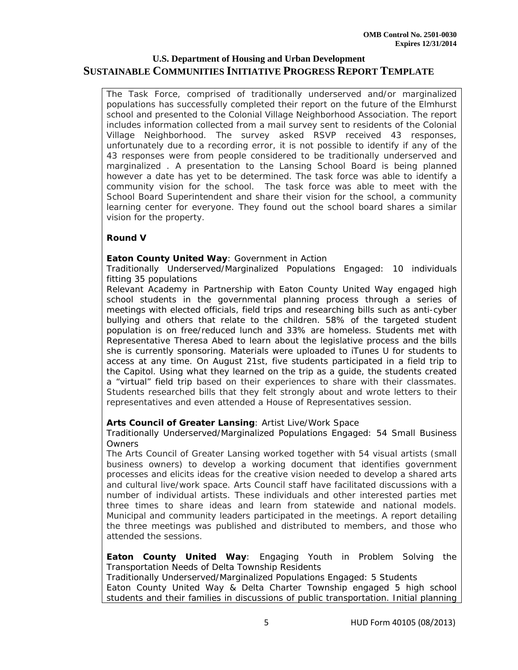The Task Force, comprised of traditionally underserved and/or marginalized populations has successfully completed their report on the future of the Elmhurst school and presented to the Colonial Village Neighborhood Association. The report includes information collected from a mail survey sent to residents of the Colonial Village Neighborhood. The survey asked RSVP received 43 responses, unfortunately due to a recording error, it is not possible to identify if any of the 43 responses were from people considered to be traditionally underserved and marginalized . A presentation to the Lansing School Board is being planned however a date has yet to be determined. The task force was able to identify a community vision for the school. The task force was able to meet with the School Board Superintendent and share their vision for the school, a community learning center for everyone. They found out the school board shares a similar vision for the property.

### **Round V**

#### **Eaton County United Way**: *Government in Action*

Traditionally Underserved/Marginalized Populations Engaged: 10 individuals fitting 35 populations

Relevant Academy in Partnership with Eaton County United Way engaged high school students in the governmental planning process through a series of meetings with elected officials, field trips and researching bills such as anti-cyber bullying and others that relate to the children. 58% of the targeted student population is on free/reduced lunch and 33% are homeless. Students met with Representative Theresa Abed to learn about the legislative process and the bills she is currently sponsoring. Materials were uploaded to iTunes U for students to access at any time. On August 21st, five students participated in a field trip to the Capitol. Using what they learned on the trip as a guide, the students created a "virtual" field trip based on their experiences to share with their classmates. Students researched bills that they felt strongly about and wrote letters to their representatives and even attended a House of Representatives session.

### **Arts Council of Greater Lansing**: *Artist Live/Work Space*

Traditionally Underserved/Marginalized Populations Engaged: 54 Small Business Owners

The Arts Council of Greater Lansing worked together with 54 visual artists (small business owners) to develop a working document that identifies government processes and elicits ideas for the creative vision needed to develop a shared arts and cultural live/work space. Arts Council staff have facilitated discussions with a number of individual artists. These individuals and other interested parties met three times to share ideas and learn from statewide and national models. Municipal and community leaders participated in the meetings. A report detailing the three meetings was published and distributed to members, and those who attended the sessions.

**Eaton County United Way**: *Engaging Youth in Problem Solving the Transportation Needs of Delta Township Residents*

Traditionally Underserved/Marginalized Populations Engaged: 5 Students Eaton County United Way & Delta Charter Township engaged 5 high school students and their families in discussions of public transportation. Initial planning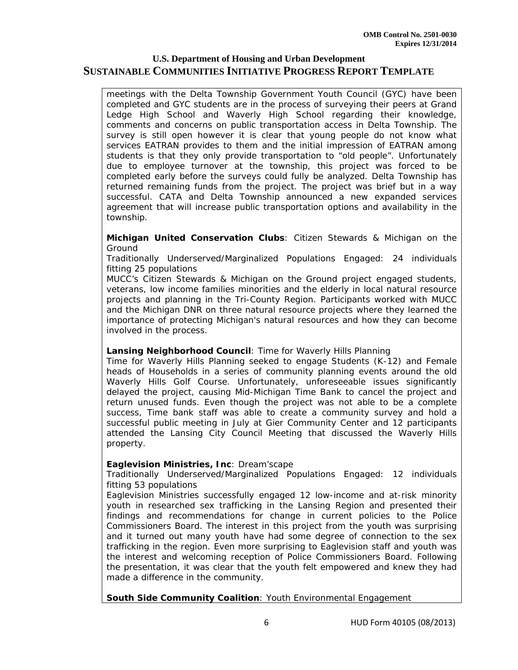meetings with the Delta Township Government Youth Council (GYC) have been completed and GYC students are in the process of surveying their peers at Grand Ledge High School and Waverly High School regarding their knowledge, comments and concerns on public transportation access in Delta Township. The survey is still open however it is clear that young people do not know what services EATRAN provides to them and the initial impression of EATRAN among students is that they only provide transportation to "old people". Unfortunately due to employee turnover at the township, this project was forced to be completed early before the surveys could fully be analyzed. Delta Township has returned remaining funds from the project. The project was brief but in a way successful. CATA and Delta Township announced a new expanded services agreement that will increase public transportation options and availability in the township.

#### **Michigan United Conservation Clubs**: *Citizen Stewards & Michigan on the Ground*

Traditionally Underserved/Marginalized Populations Engaged: 24 individuals fitting 25 populations

MUCC's Citizen Stewards & Michigan on the Ground project engaged students, veterans, low income families minorities and the elderly in local natural resource projects and planning in the Tri-County Region. Participants worked with MUCC and the Michigan DNR on three natural resource projects where they learned the importance of protecting Michigan's natural resources and how they can become involved in the process.

### **Lansing Neighborhood Council**: *Time for Waverly Hills Planning*

Time for Waverly Hills Planning seeked to engage Students (K-12) and Female heads of Households in a series of community planning events around the old Waverly Hills Golf Course. Unfortunately, unforeseeable issues significantly delayed the project, causing Mid-Michigan Time Bank to cancel the project and return unused funds. Even though the project was not able to be a complete success, Time bank staff was able to create a community survey and hold a successful public meeting in July at Gier Community Center and 12 participants attended the Lansing City Council Meeting that discussed the Waverly Hills property.

### **Eaglevision Ministries, Inc**: *Dream'scape*

Traditionally Underserved/Marginalized Populations Engaged: 12 individuals fitting 53 populations

Eaglevision Ministries successfully engaged 12 low-income and at-risk minority youth in researched sex trafficking in the Lansing Region and presented their findings and recommendations for change in current policies to the Police Commissioners Board. The interest in this project from the youth was surprising and it turned out many youth have had some degree of connection to the sex trafficking in the region. Even more surprising to Eaglevision staff and youth was the interest and welcoming reception of Police Commissioners Board. Following the presentation, it was clear that the youth felt empowered and knew they had made a difference in the community.

**South Side Community Coalition**: *Youth Environmental Engagement*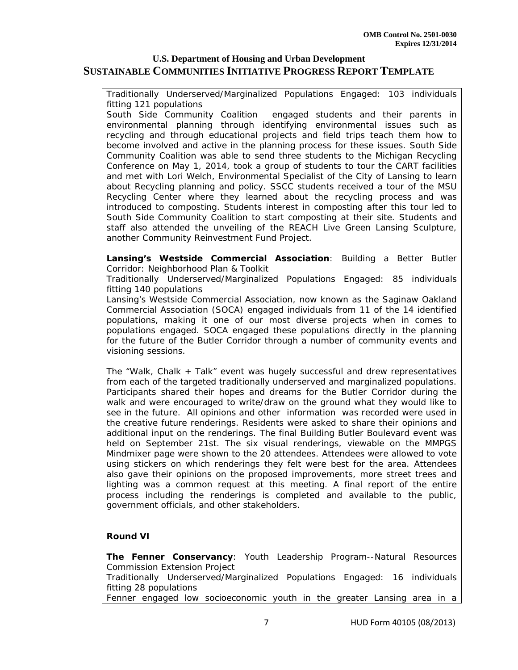Traditionally Underserved/Marginalized Populations Engaged: 103 individuals fitting 121 populations

South Side Community Coalition engaged students and their parents in environmental planning through identifying environmental issues such as recycling and through educational projects and field trips teach them how to become involved and active in the planning process for these issues. South Side Community Coalition was able to send three students to the Michigan Recycling Conference on May 1, 2014, took a group of students to tour the CART facilities and met with Lori Welch, Environmental Specialist of the City of Lansing to learn about Recycling planning and policy. SSCC students received a tour of the MSU Recycling Center where they learned about the recycling process and was introduced to composting. Students interest in composting after this tour led to South Side Community Coalition to start composting at their site. Students and staff also attended the unveiling of the REACH Live Green Lansing Sculpture, another Community Reinvestment Fund Project.

#### **Lansing's Westside Commercial Association**: *Building a Better Butler Corridor: Neighborhood Plan & Toolkit*

Traditionally Underserved/Marginalized Populations Engaged: 85 individuals fitting 140 populations

Lansing's Westside Commercial Association, now known as the Saginaw Oakland Commercial Association (SOCA) engaged individuals from 11 of the 14 identified populations, making it one of our most diverse projects when in comes to populations engaged. SOCA engaged these populations directly in the planning for the future of the Butler Corridor through a number of community events and visioning sessions.

The "Walk, Chalk + Talk" event was hugely successful and drew representatives from each of the targeted traditionally underserved and marginalized populations. Participants shared their hopes and dreams for the Butler Corridor during the walk and were encouraged to write/draw on the ground what they would like to see in the future. All opinions and other information was recorded were used in the creative future renderings. Residents were asked to share their opinions and additional input on the renderings. The final Building Butler Boulevard event was held on September 21st. The six visual renderings, viewable on the MMPGS Mindmixer page were shown to the 20 attendees. Attendees were allowed to vote using stickers on which renderings they felt were best for the area. Attendees also gave their opinions on the proposed improvements, more street trees and lighting was a common request at this meeting. A final report of the entire process including the renderings is completed and available to the public, government officials, and other stakeholders.

### **Round VI**

**The Fenner Conservancy**: *Youth Leadership Program--Natural Resources Commission Extension Project* Traditionally Underserved/Marginalized Populations Engaged: 16 individuals fitting 28 populations Fenner engaged low socioeconomic youth in the greater Lansing area in a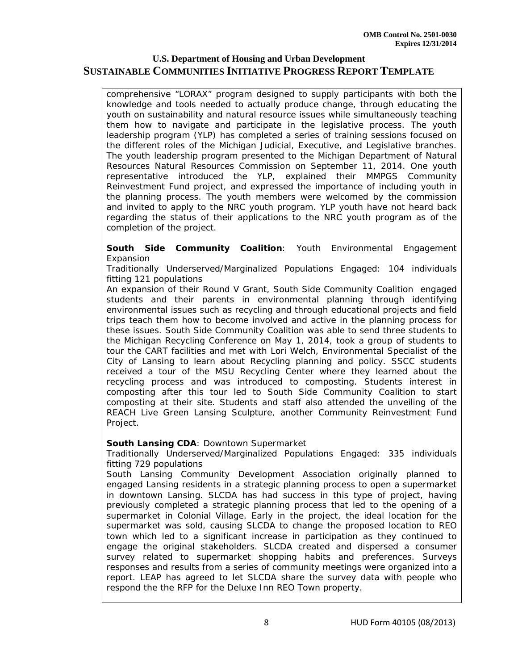comprehensive "LORAX" program designed to supply participants with both the knowledge and tools needed to actually produce change, through educating the youth on sustainability and natural resource issues while simultaneously teaching them how to navigate and participate in the legislative process. The youth leadership program (YLP) has completed a series of training sessions focused on the different roles of the Michigan Judicial, Executive, and Legislative branches. The youth leadership program presented to the Michigan Department of Natural Resources Natural Resources Commission on September 11, 2014. One youth representative introduced the YLP, explained their MMPGS Community Reinvestment Fund project, and expressed the importance of including youth in the planning process. The youth members were welcomed by the commission and invited to apply to the NRC youth program. YLP youth have not heard back regarding the status of their applications to the NRC youth program as of the completion of the project.

#### **South Side Community Coalition**: *Youth Environmental Engagement Expansion*

Traditionally Underserved/Marginalized Populations Engaged: 104 individuals fitting 121 populations

An expansion of their Round V Grant, South Side Community Coalition engaged students and their parents in environmental planning through identifying environmental issues such as recycling and through educational projects and field trips teach them how to become involved and active in the planning process for these issues. South Side Community Coalition was able to send three students to the Michigan Recycling Conference on May 1, 2014, took a group of students to tour the CART facilities and met with Lori Welch, Environmental Specialist of the City of Lansing to learn about Recycling planning and policy. SSCC students received a tour of the MSU Recycling Center where they learned about the recycling process and was introduced to composting. Students interest in composting after this tour led to South Side Community Coalition to start composting at their site. Students and staff also attended the unveiling of the REACH Live Green Lansing Sculpture, another Community Reinvestment Fund Project.

### **South Lansing CDA**: *Downtown Supermarket*

Traditionally Underserved/Marginalized Populations Engaged: 335 individuals fitting 729 populations

South Lansing Community Development Association originally planned to engaged Lansing residents in a strategic planning process to open a supermarket in downtown Lansing. SLCDA has had success in this type of project, having previously completed a strategic planning process that led to the opening of a supermarket in Colonial Village. Early in the project, the ideal location for the supermarket was sold, causing SLCDA to change the proposed location to REO town which led to a significant increase in participation as they continued to engage the original stakeholders. SLCDA created and dispersed a consumer survey related to supermarket shopping habits and preferences. Surveys responses and results from a series of community meetings were organized into a report. LEAP has agreed to let SLCDA share the survey data with people who respond the the RFP for the Deluxe Inn REO Town property.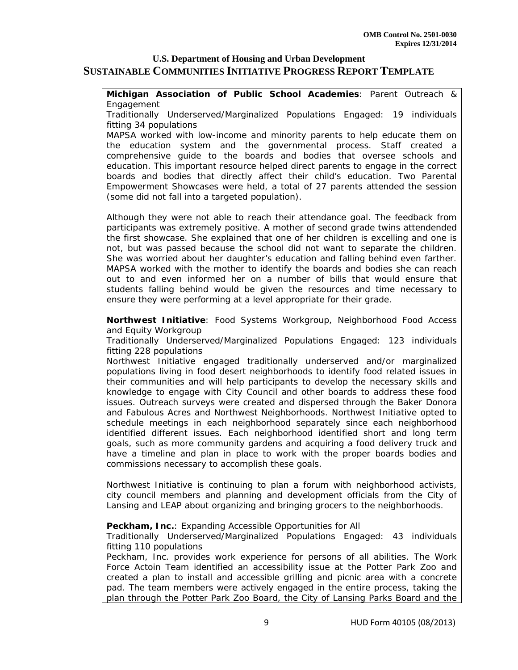**Michigan Association of Public School Academies**: *Parent Outreach & Engagement*

Traditionally Underserved/Marginalized Populations Engaged: 19 individuals fitting 34 populations

MAPSA worked with low-income and minority parents to help educate them on the education system and the governmental process. Staff created a comprehensive guide to the boards and bodies that oversee schools and education. This important resource helped direct parents to engage in the correct boards and bodies that directly affect their child's education. Two Parental Empowerment Showcases were held, a total of 27 parents attended the session (some did not fall into a targeted population).

Although they were not able to reach their attendance goal. The feedback from participants was extremely positive. A mother of second grade twins attendended the first showcase. She explained that one of her children is excelling and one is not, but was passed because the school did not want to separate the children. She was worried about her daughter's education and falling behind even farther. MAPSA worked with the mother to identify the boards and bodies she can reach out to and even informed her on a number of bills that would ensure that students falling behind would be given the resources and time necessary to ensure they were performing at a level appropriate for their grade.

**Northwest Initiative**: *Food Systems Workgroup, Neighborhood Food Access and Equity Workgroup*

Traditionally Underserved/Marginalized Populations Engaged: 123 individuals fitting 228 populations

Northwest Initiative engaged traditionally underserved and/or marginalized populations living in food desert neighborhoods to identify food related issues in their communities and will help participants to develop the necessary skills and knowledge to engage with City Council and other boards to address these food issues. Outreach surveys were created and dispersed through the Baker Donora and Fabulous Acres and Northwest Neighborhoods. Northwest Initiative opted to schedule meetings in each neighborhood separately since each neighborhood identified different issues. Each neighborhood identified short and long term goals, such as more community gardens and acquiring a food delivery truck and have a timeline and plan in place to work with the proper boards bodies and commissions necessary to accomplish these goals.

Northwest Initiative is continuing to plan a forum with neighborhood activists, city council members and planning and development officials from the City of Lansing and LEAP about organizing and bringing grocers to the neighborhoods.

#### **Peckham, Inc.**: *Expanding Accessible Opportunities for All*

Traditionally Underserved/Marginalized Populations Engaged: 43 individuals fitting 110 populations

Peckham, Inc. provides work experience for persons of all abilities. The Work Force Actoin Team identified an accessibility issue at the Potter Park Zoo and created a plan to install and accessible grilling and picnic area with a concrete pad. The team members were actively engaged in the entire process, taking the plan through the Potter Park Zoo Board, the City of Lansing Parks Board and the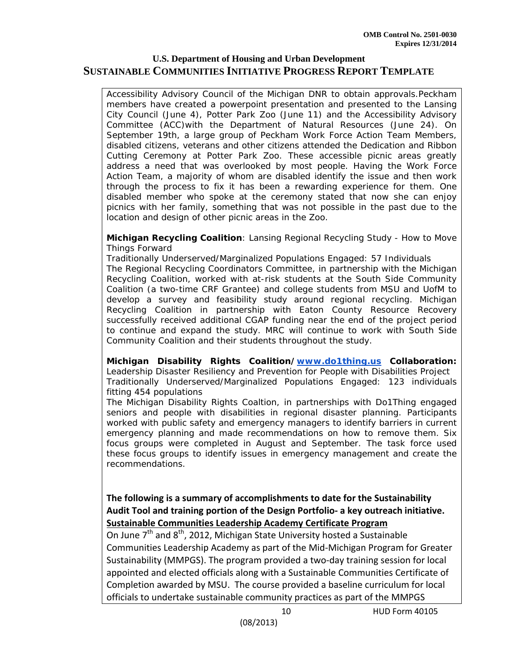Accessibility Advisory Council of the Michigan DNR to obtain approvals.Peckham members have created a powerpoint presentation and presented to the Lansing City Council (June 4), Potter Park Zoo (June 11) and the Accessibility Advisory Committee (ACC)with the Department of Natural Resources (June 24). On September 19th, a large group of Peckham Work Force Action Team Members, disabled citizens, veterans and other citizens attended the Dedication and Ribbon Cutting Ceremony at Potter Park Zoo. These accessible picnic areas greatly address a need that was overlooked by most people. Having the Work Force Action Team, a majority of whom are disabled identify the issue and then work through the process to fix it has been a rewarding experience for them. One disabled member who spoke at the ceremony stated that now she can enjoy picnics with her family, something that was not possible in the past due to the location and design of other picnic areas in the Zoo.

#### **Michigan Recycling Coalition**: *Lansing Regional Recycling Study - How to Move Things Forward*

Traditionally Underserved/Marginalized Populations Engaged: 57 Individuals The Regional Recycling Coordinators Committee, in partnership with the Michigan Recycling Coalition, worked with at-risk students at the South Side Community Coalition (a two-time CRF Grantee) and college students from MSU and UofM to develop a survey and feasibility study around regional recycling. Michigan Recycling Coalition in partnership with Eaton County Resource Recovery successfully received additional CGAP funding near the end of the project period to continue and expand the study. MRC will continue to work with South Side Community Coalition and their students throughout the study.

**Michigan Disability Rights Coalition/www.do1thing.us Collaboration:**  *Leadership Disaster Resiliency and Prevention for People with Disabilities Project* Traditionally Underserved/Marginalized Populations Engaged: 123 individuals fitting 454 populations

The Michigan Disability Rights Coaltion, in partnerships with Do1Thing engaged seniors and people with disabilities in regional disaster planning. Participants worked with public safety and emergency managers to identify barriers in current emergency planning and made recommendations on how to remove them. Six focus groups were completed in August and September. The task force used these focus groups to identify issues in emergency management and create the recommendations.

**The following is a summary of accomplishments to date for the Sustainability Audit Tool and training portion of the Design Portfolio‐ a key outreach initiative. Sustainable Communities Leadership Academy Certificate Program** 

On June  $7<sup>th</sup>$  and  $8<sup>th</sup>$ , 2012, Michigan State University hosted a Sustainable Communities Leadership Academy as part of the Mid‐Michigan Program for Greater Sustainability (MMPGS). The program provided a two‐day training session for local appointed and elected officials along with a Sustainable Communities Certificate of Completion awarded by MSU. The course provided a baseline curriculum for local officials to undertake sustainable community practices as part of the MMPGS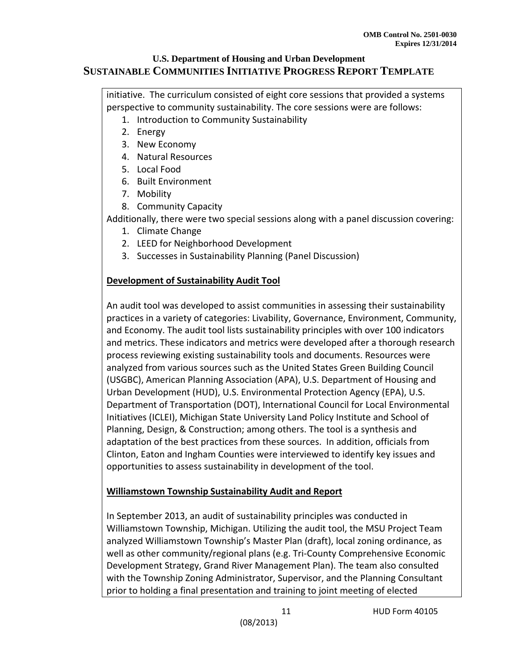initiative. The curriculum consisted of eight core sessions that provided a systems perspective to community sustainability. The core sessions were are follows:

- 1. Introduction to Community Sustainability
- 2. Energy
- 3. New Economy
- 4. Natural Resources
- 5. Local Food
- 6. Built Environment
- 7. Mobility
- 8. Community Capacity

Additionally, there were two special sessions along with a panel discussion covering:

- 1. Climate Change
- 2. LEED for Neighborhood Development
- 3. Successes in Sustainability Planning (Panel Discussion)

# **Development of Sustainability Audit Tool**

An audit tool was developed to assist communities in assessing their sustainability practices in a variety of categories: Livability, Governance, Environment, Community, and Economy. The audit tool lists sustainability principles with over 100 indicators and metrics. These indicators and metrics were developed after a thorough research process reviewing existing sustainability tools and documents. Resources were analyzed from various sources such as the United States Green Building Council (USGBC), American Planning Association (APA), U.S. Department of Housing and Urban Development (HUD), U.S. Environmental Protection Agency (EPA), U.S. Department of Transportation (DOT), International Council for Local Environmental Initiatives (ICLEI), Michigan State University Land Policy Institute and School of Planning, Design, & Construction; among others. The tool is a synthesis and adaptation of the best practices from these sources. In addition, officials from Clinton, Eaton and Ingham Counties were interviewed to identify key issues and opportunities to assess sustainability in development of the tool.

## **Williamstown Township Sustainability Audit and Report**

In September 2013, an audit of sustainability principles was conducted in Williamstown Township, Michigan. Utilizing the audit tool, the MSU Project Team analyzed Williamstown Township's Master Plan (draft), local zoning ordinance, as well as other community/regional plans (e.g. Tri-County Comprehensive Economic Development Strategy, Grand River Management Plan). The team also consulted with the Township Zoning Administrator, Supervisor, and the Planning Consultant prior to holding a final presentation and training to joint meeting of elected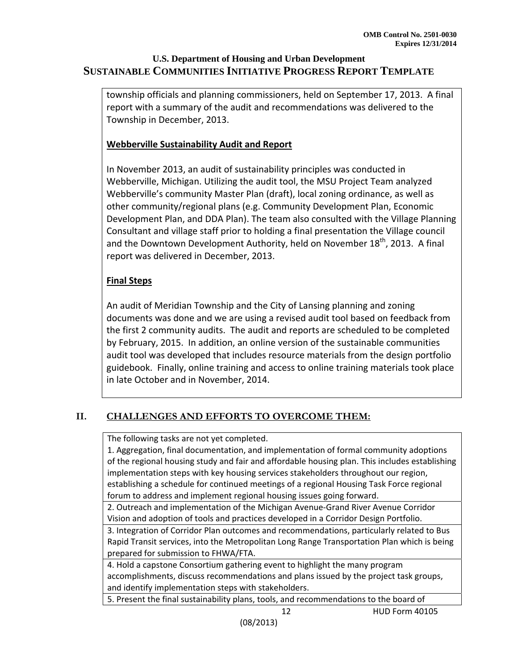township officials and planning commissioners, held on September 17, 2013. A final report with a summary of the audit and recommendations was delivered to the Township in December, 2013.

## **Webberville Sustainability Audit and Report**

In November 2013, an audit of sustainability principles was conducted in Webberville, Michigan. Utilizing the audit tool, the MSU Project Team analyzed Webberville's community Master Plan (draft), local zoning ordinance, as well as other community/regional plans (e.g. Community Development Plan, Economic Development Plan, and DDA Plan). The team also consulted with the Village Planning Consultant and village staff prior to holding a final presentation the Village council and the Downtown Development Authority, held on November 18<sup>th</sup>, 2013. A final report was delivered in December, 2013.

## **Final Steps**

An audit of Meridian Township and the City of Lansing planning and zoning documents was done and we are using a revised audit tool based on feedback from the first 2 community audits. The audit and reports are scheduled to be completed by February, 2015. In addition, an online version of the sustainable communities audit tool was developed that includes resource materials from the design portfolio guidebook. Finally, online training and access to online training materials took place in late October and in November, 2014.

# **II. CHALLENGES AND EFFORTS TO OVERCOME THEM:**

The following tasks are not yet completed.

1. Aggregation, final documentation, and implementation of formal community adoptions of the regional housing study and fair and affordable housing plan. This includes establishing implementation steps with key housing services stakeholders throughout our region, establishing a schedule for continued meetings of a regional Housing Task Force regional forum to address and implement regional housing issues going forward.

2. Outreach and implementation of the Michigan Avenue‐Grand River Avenue Corridor Vision and adoption of tools and practices developed in a Corridor Design Portfolio.

3. Integration of Corridor Plan outcomes and recommendations, particularly related to Bus Rapid Transit services, into the Metropolitan Long Range Transportation Plan which is being prepared for submission to FHWA/FTA.

4. Hold a capstone Consortium gathering event to highlight the many program accomplishments, discuss recommendations and plans issued by the project task groups, and identify implementation steps with stakeholders.

5. Present the final sustainability plans, tools, and recommendations to the board of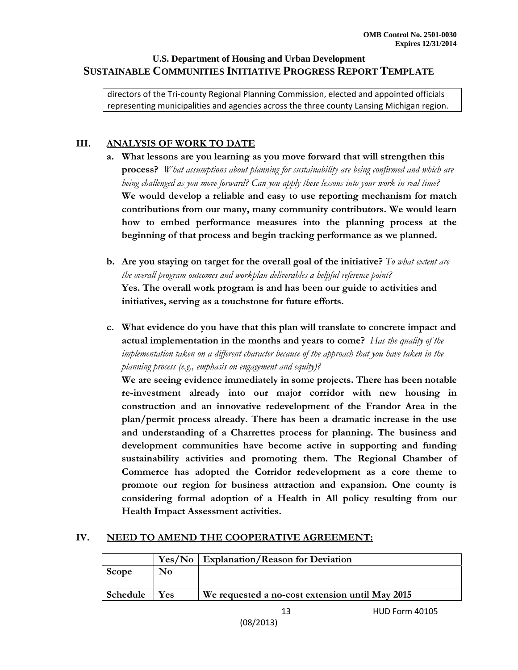directors of the Tri‐county Regional Planning Commission, elected and appointed officials representing municipalities and agencies across the three county Lansing Michigan region.

## **III. ANALYSIS OF WORK TO DATE**

- **a. What lessons are you learning as you move forward that will strengthen this process?** *What assumptions about planning for sustainability are being confirmed and which are being challenged as you move forward? Can you apply these lessons into your work in real time?* **We would develop a reliable and easy to use reporting mechanism for match contributions from our many, many community contributors. We would learn how to embed performance measures into the planning process at the beginning of that process and begin tracking performance as we planned.**
- **b. Are you staying on target for the overall goal of the initiative?** *To what extent are the overall program outcomes and workplan deliverables a helpful reference point?* **Yes. The overall work program is and has been our guide to activities and initiatives, serving as a touchstone for future efforts.**
- **c. What evidence do you have that this plan will translate to concrete impact and actual implementation in the months and years to come?** *Has the quality of the implementation taken on a different character because of the approach that you have taken in the planning process (e.g., emphasis on engagement and equity)?*

**We are seeing evidence immediately in some projects. There has been notable re-investment already into our major corridor with new housing in construction and an innovative redevelopment of the Frandor Area in the plan/permit process already. There has been a dramatic increase in the use and understanding of a Charrettes process for planning. The business and development communities have become active in supporting and funding sustainability activities and promoting them. The Regional Chamber of Commerce has adopted the Corridor redevelopment as a core theme to promote our region for business attraction and expansion. One county is considering formal adoption of a Health in All policy resulting from our Health Impact Assessment activities.** 

## **IV. NEED TO AMEND THE COOPERATIVE AGREEMENT:**

|          |            | Yes/No   Explanation/Reason for Deviation       |  |
|----------|------------|-------------------------------------------------|--|
| Scope    | No         |                                                 |  |
|          |            |                                                 |  |
| Schedule | <b>Yes</b> | We requested a no-cost extension until May 2015 |  |